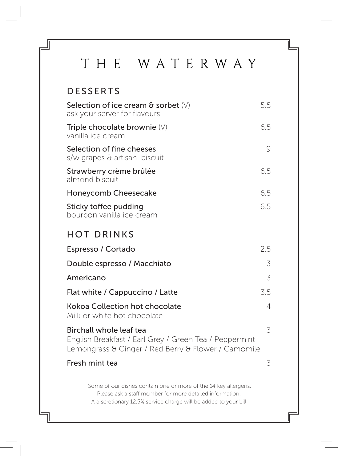## THE WATERWAY

| <b>DESSERTS</b>                                                                                                                                                                                |                |
|------------------------------------------------------------------------------------------------------------------------------------------------------------------------------------------------|----------------|
| Selection of ice cream $\theta$ sorbet $(V)$<br>ask your server for flavours                                                                                                                   | 5.5            |
| Triple chocolate brownie $(V)$<br>vanilla ice cream                                                                                                                                            | 6.5            |
| Selection of fine cheeses<br>s/w grapes & artisan biscuit                                                                                                                                      | 9              |
| Strawberry crème brûlée<br>almond biscuit                                                                                                                                                      | 6.5            |
| Honeycomb Cheesecake                                                                                                                                                                           | 6.5            |
| Sticky toffee pudding<br>bourbon vanilla ice cream                                                                                                                                             | 6.5            |
| <b>HOT DRINKS</b>                                                                                                                                                                              |                |
| Espresso / Cortado                                                                                                                                                                             | 2.5            |
| Double espresso / Macchiato                                                                                                                                                                    | 3              |
| Americano                                                                                                                                                                                      | 3              |
| Flat white / Cappuccino / Latte                                                                                                                                                                | 3.5            |
| Kokoa Collection hot chocolate<br>Milk or white hot chocolate                                                                                                                                  | $\overline{4}$ |
| Birchall whole leaf tea<br>English Breakfast / Earl Grey / Green Tea / Peppermint<br>Lemongrass & Ginger / Red Berry & Flower / Camomile                                                       | 3              |
| Fresh mint tea                                                                                                                                                                                 | 3              |
| Some of our dishes contain one or more of the 14 key allergens.<br>Please ask a staff member for more detailed information.<br>A discretionary 12.5% service charge will be added to your bill |                |